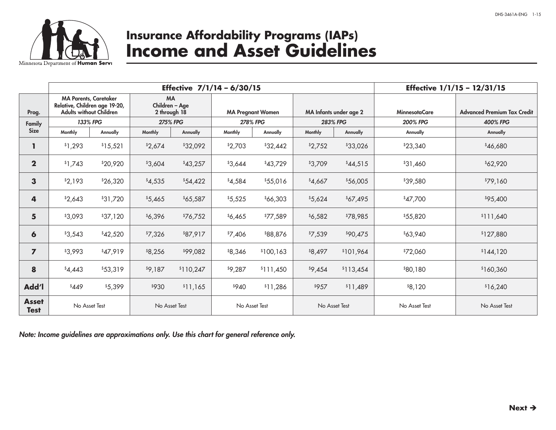

# **Insurance Affordability Programs (IAPs) Income and Asset Guidelines**

|                             | Effective 7/1/14 - 6/30/15                                                                      |          |                                             |           |                          |           |                        |           | Effective 1/1/15 - 12/31/15 |                                    |  |  |
|-----------------------------|-------------------------------------------------------------------------------------------------|----------|---------------------------------------------|-----------|--------------------------|-----------|------------------------|-----------|-----------------------------|------------------------------------|--|--|
| Prog.                       | <b>MA Parents, Caretaker</b><br>Relative, Children age 19-20,<br><b>Adults without Children</b> |          | <b>MA</b><br>Children - Age<br>2 through 18 |           | <b>MA Pregnant Women</b> |           | MA Infants under age 2 |           | <b>MinnesotaCare</b>        | <b>Advanced Premium Tax Credit</b> |  |  |
| Family                      | 133% FPG                                                                                        |          | <b>275% FPG</b>                             |           | <b>278% FPG</b>          |           | <b>283% FPG</b>        |           | <b>200% FPG</b>             | <b>400% FPG</b>                    |  |  |
| <b>Size</b>                 | Monthly                                                                                         | Annually | Monthly                                     | Annually  | Monthly                  | Annually  | Monthly                | Annually  | Annually                    | Annually                           |  |  |
|                             | \$1,293                                                                                         | \$15,521 | \$2,674                                     | \$32,092  | \$2,703                  | \$32,442  | \$2,752                | \$33,026  | \$23,340                    | \$46,680                           |  |  |
| $\mathbf 2$                 | \$1,743                                                                                         | \$20,920 | \$3,604                                     | \$43,257  | \$3,644                  | \$43,729  | \$3,709                | \$44,515  | \$31,460                    | \$62,920                           |  |  |
| 3                           | \$2,193                                                                                         | \$26,320 | \$4,535                                     | \$54,422  | \$4,584                  | \$55,016  | \$4,667                | \$56,005  | \$39,580                    | \$79,160                           |  |  |
| 4                           | \$2,643                                                                                         | \$31,720 | \$5,465                                     | \$65,587  | \$5,525                  | \$66,303  | \$5,624                | \$67,495  | \$47,700                    | \$95,400                           |  |  |
| 5                           | \$3,093                                                                                         | \$37,120 | \$6,396                                     | \$76,752  | \$6,465                  | \$77,589  | \$6,582                | \$78,985  | \$55,820                    | \$111,640                          |  |  |
| $\boldsymbol{6}$            | \$3,543                                                                                         | \$42,520 | \$7,326                                     | \$87,917  | \$7,406                  | \$88,876  | \$7,539                | \$90,475  | \$63,940                    | \$127,880                          |  |  |
| $\overline{z}$              | \$3,993                                                                                         | \$47,919 | \$8,256                                     | \$99,082  | \$8,346                  | \$100,163 | \$8,497                | \$101,964 | \$72,060                    | \$144,120                          |  |  |
| 8                           | \$4,443                                                                                         | \$53,319 | \$9,187                                     | \$110,247 | \$9,287                  | \$111,450 | \$9,454                | \$113,454 | \$80,180                    | \$160,360                          |  |  |
| Add'l                       | \$449                                                                                           | \$5,399  | \$930                                       | \$11,165  | \$940                    | \$11,286  | \$957                  | \$11,489  | \$8,120                     | \$16,240                           |  |  |
| <b>Asset</b><br><b>Test</b> | No Asset Test                                                                                   |          | No Asset Test                               |           | No Asset Test            |           | No Asset Test          |           | No Asset Test               | No Asset Test                      |  |  |

*Note: Income guidelines are approximations only. Use this chart for general reference only.*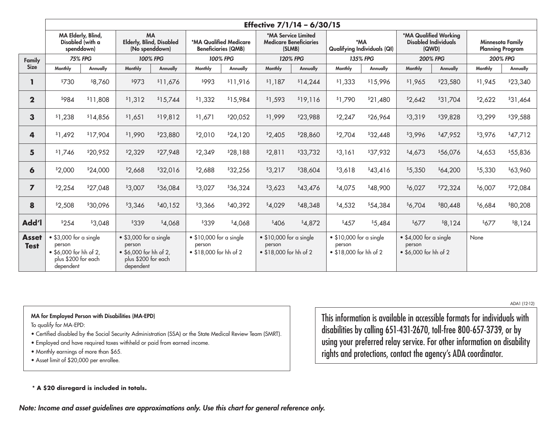|                             | Effective 7/1/14 - 6/30/15                                                                             |          |                                                                                                        |          |                                                                     |          |                                                                     |          |                                                                     |          |                                                                   |          |                                                    |          |
|-----------------------------|--------------------------------------------------------------------------------------------------------|----------|--------------------------------------------------------------------------------------------------------|----------|---------------------------------------------------------------------|----------|---------------------------------------------------------------------|----------|---------------------------------------------------------------------|----------|-------------------------------------------------------------------|----------|----------------------------------------------------|----------|
|                             | MA Elderly, Blind,<br>Disabled (with a<br>spenddown)                                                   |          | <b>MA</b><br><b>Elderly, Blind, Disabled</b><br>(No spenddown)                                         |          | *MA Qualified Medicare<br><b>Beneficiaries (QMB)</b>                |          | *MA Service Limited<br><b>Medicare Beneficiaries</b><br>(SLMB)      |          | *MA<br><b>Qualifying Individuals (QI)</b>                           |          | *MA Qualified Working<br><b>Disabled Individuals</b><br>(QWD)     |          | <b>Minnesota Family</b><br><b>Planning Program</b> |          |
| Family                      | <b>75% FPG</b>                                                                                         |          | 100% FPG                                                                                               |          | 100% FPG                                                            |          | <b>120% FPG</b>                                                     |          | <b>135% FPG</b>                                                     |          | <b>200% FPG</b>                                                   |          | <b>200% FPG</b>                                    |          |
| <b>Size</b>                 | Monthly                                                                                                | Annually | Monthly                                                                                                | Annually | Monthly                                                             | Annually | Monthly                                                             | Annually | Monthly                                                             | Annually | Monthly                                                           | Annually | Monthly                                            | Annually |
| ı                           | \$730                                                                                                  | \$8,760  | \$973                                                                                                  | \$11,676 | \$993                                                               | \$11,916 | \$1,187                                                             | \$14,244 | \$1,333                                                             | \$15,996 | \$1,965                                                           | \$23,580 | \$1,945                                            | \$23,340 |
| $\overline{2}$              | \$984                                                                                                  | \$11,808 | \$1,312                                                                                                | \$15,744 | \$1,332                                                             | \$15,984 | \$1,593                                                             | \$19,116 | \$1,790                                                             | \$21,480 | \$2,642                                                           | \$31,704 | \$2,622                                            | \$31,464 |
| 3                           | \$1,238                                                                                                | \$14,856 | \$1,651                                                                                                | \$19,812 | \$1,671                                                             | \$20,052 | \$1,999                                                             | \$23,988 | \$2,247                                                             | \$26,964 | \$3,319                                                           | \$39,828 | \$3,299                                            | \$39,588 |
| 4                           | \$1,492                                                                                                | \$17,904 | \$1,990                                                                                                | \$23,880 | \$2,010                                                             | \$24,120 | \$2,405                                                             | \$28,860 | \$2,704                                                             | \$32,448 | \$3,996                                                           | \$47,952 | \$3,976                                            | \$47,712 |
| 5                           | \$1,746                                                                                                | \$20,952 | \$2,329                                                                                                | \$27,948 | \$2,349                                                             | \$28,188 | \$2,811                                                             | \$33,732 | \$3,161                                                             | \$37,932 | \$4,673                                                           | \$56,076 | \$4,653                                            | \$55,836 |
| 6                           | \$2,000                                                                                                | \$24,000 | \$2,668                                                                                                | \$32,016 | \$2,688                                                             | \$32,256 | \$3,217                                                             | \$38,604 | \$3,618                                                             | \$43,416 | \$5,350                                                           | \$64,200 | \$5,330                                            | \$63,960 |
| $\overline{7}$              | \$2,254                                                                                                | \$27,048 | \$3,007                                                                                                | \$36,084 | \$3,027                                                             | \$36,324 | \$3,623                                                             | \$43,476 | \$4,075                                                             | \$48,900 | \$6,027                                                           | \$72,324 | \$6,007                                            | \$72,084 |
| 8                           | \$2,508                                                                                                | \$30,096 | \$3,346                                                                                                | \$40,152 | \$3,366                                                             | \$40,392 | \$4,029                                                             | \$48,348 | \$4,532                                                             | \$54,384 | \$6,704                                                           | \$80,448 | \$6,684                                            | \$80,208 |
| <b>Ndd</b>                  | \$254                                                                                                  | \$3,048  | \$339                                                                                                  | \$4,068  | \$339                                                               | \$4,068  | \$406                                                               | \$4,872  | \$457                                                               | \$5,484  | \$677                                                             | \$8,124  | \$677                                              | \$8,124  |
| <b>Asset</b><br><b>Test</b> | $\bullet$ \$3,000 for a single<br>person<br>• \$6,000 for hh of 2,<br>plus \$200 for each<br>dependent |          | $\bullet$ \$3,000 for a single<br>person<br>• \$6,000 for hh of 2,<br>plus \$200 for each<br>dependent |          | $\bullet$ \$10,000 for a single<br>person<br>• \$18,000 for hh of 2 |          | $\bullet$ \$10,000 for a single<br>person<br>• \$18,000 for hh of 2 |          | $\bullet$ \$10,000 for a single<br>person<br>• \$18,000 for hh of 2 |          | $\bullet$ \$4,000 for a single<br>person<br>• \$6,000 for hh of 2 |          | None                                               |          |

#### MA for Employed Person with Disabilities (MA-EPD)

To qualify for MA-EPD:

- Certified disabled by the Social Security Administration (SSA) or the State Medical Review Team (SMRT).
- Employed and have required taxes withheld or paid from earned income.
- Monthly earnings of more than \$65.
- Asset limit of \$20,000 per enrollee.

This information is available in accessible formats for individuals with disabilities by calling 651‑431‑2670, toll‑free 800‑657‑3739, or by using your preferred relay service. For other information on disability rights and protections, contact the agency's ADA coordinator.

#### **\* A \$20 disregard is included in totals.**

*Note: Income and asset guidelines are approximations only. Use this chart for general reference only.* 

ADA1 (12-12)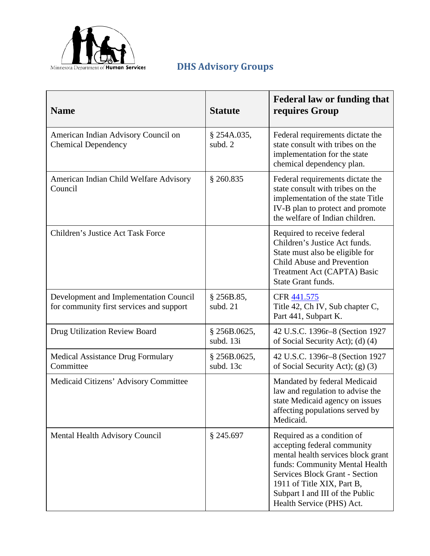

## **DHS Advisory Groups**

| <b>Name</b>                                                                        | <b>Statute</b>            | <b>Federal law or funding that</b><br>requires Group                                                                                                                                                                                                                     |  |  |  |  |
|------------------------------------------------------------------------------------|---------------------------|--------------------------------------------------------------------------------------------------------------------------------------------------------------------------------------------------------------------------------------------------------------------------|--|--|--|--|
| American Indian Advisory Council on<br><b>Chemical Dependency</b>                  | $§$ 254A.035,<br>subd. 2  | Federal requirements dictate the<br>state consult with tribes on the<br>implementation for the state<br>chemical dependency plan.                                                                                                                                        |  |  |  |  |
| American Indian Child Welfare Advisory<br>Council                                  | § 260.835                 | Federal requirements dictate the<br>state consult with tribes on the<br>implementation of the state Title<br>IV-B plan to protect and promote<br>the welfare of Indian children.                                                                                         |  |  |  |  |
| <b>Children's Justice Act Task Force</b>                                           |                           | Required to receive federal<br>Children's Justice Act funds.<br>State must also be eligible for<br>Child Abuse and Prevention<br>Treatment Act (CAPTA) Basic<br>State Grant funds.                                                                                       |  |  |  |  |
| Development and Implementation Council<br>for community first services and support | § 256B.85,<br>subd. 21    | CFR 441.575<br>Title 42, Ch IV, Sub chapter C,<br>Part 441, Subpart K.                                                                                                                                                                                                   |  |  |  |  |
| Drug Utilization Review Board                                                      | § 256B.0625,<br>subd. 13i | 42 U.S.C. 1396r-8 (Section 1927<br>of Social Security Act); (d) (4)                                                                                                                                                                                                      |  |  |  |  |
| <b>Medical Assistance Drug Formulary</b><br>Committee                              | § 256B.0625,<br>subd. 13c | 42 U.S.C. 1396r-8 (Section 1927<br>of Social Security Act); (g) (3)                                                                                                                                                                                                      |  |  |  |  |
| Medicaid Citizens' Advisory Committee                                              |                           | Mandated by federal Medicaid<br>law and regulation to advise the<br>state Medicaid agency on issues<br>affecting populations served by<br>Medicaid.                                                                                                                      |  |  |  |  |
| Mental Health Advisory Council                                                     | § 245.697                 | Required as a condition of<br>accepting federal community<br>mental health services block grant<br>funds: Community Mental Health<br><b>Services Block Grant - Section</b><br>1911 of Title XIX, Part B,<br>Subpart I and III of the Public<br>Health Service (PHS) Act. |  |  |  |  |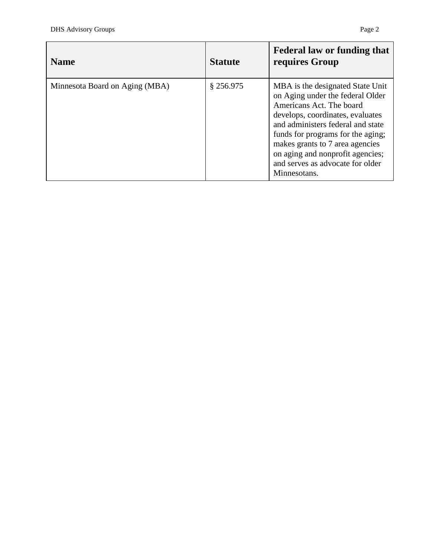| <b>Name</b>                    | <b>Statute</b> | <b>Federal law or funding that</b><br>requires Group                                                                                                                                                                                                                                                                                      |
|--------------------------------|----------------|-------------------------------------------------------------------------------------------------------------------------------------------------------------------------------------------------------------------------------------------------------------------------------------------------------------------------------------------|
| Minnesota Board on Aging (MBA) | $§$ 256.975    | MBA is the designated State Unit<br>on Aging under the federal Older<br>Americans Act. The board<br>develops, coordinates, evaluates<br>and administers federal and state<br>funds for programs for the aging;<br>makes grants to 7 area agencies<br>on aging and nonprofit agencies;<br>and serves as advocate for older<br>Minnesotans. |